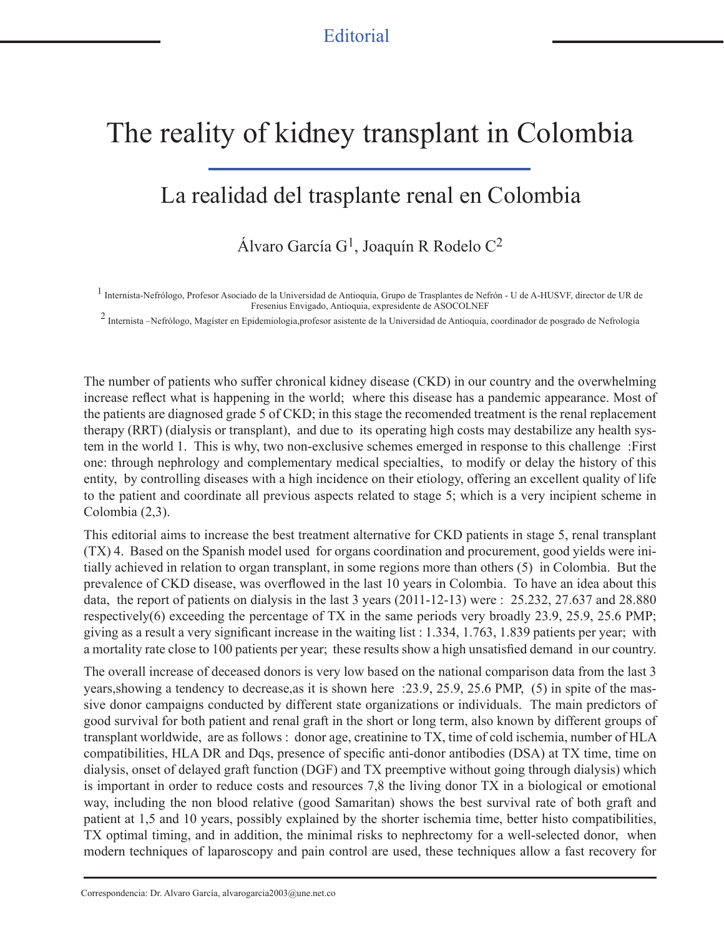## The reality of kidney transplant in Colombia

## La realidad del trasplante renal en Colombia

Álvaro García G1, Joaquín R Rodelo C2

<sup>1</sup> Internista-Nefrólogo, Profesor Asociado de la Universidad de Antioquia, Grupo de Trasplantes de Nefrón - U de A-HUSVF, director de UR de Fresenius Envigado, Antioquia, expresidente de ASOCOLNEF

<sup>2</sup> Internista –Nefrólogo, Magíster en Epidemiologia,profesor asistente de la Universidad de Antioquia, coordinador de posgrado de Nefrología

The number of patients who suffer chronical kidney disease (CKD) in our country and the overwhelming increase reflect what is happening in the world; where this disease has a pandemic appearance. Most of the patients are diagnosed grade 5 of CKD; in this stage the recomended treatment is the renal replacement therapy (RRT) (dialysis or transplant), and due to its operating high costs may destabilize any health system in the world 1. This is why, two non-exclusive schemes emerged in response to this challenge :First one: through nephrology and complementary medical specialties, to modify or delay the history of this entity, by controlling diseases with a high incidence on their etiology, offering an excellent quality of life to the patient and coordinate all previous aspects related to stage 5; which is a very incipient scheme in Colombia (2,3).

This editorial aims to increase the best treatment alternative for CKD patients in stage 5, renal transplant (TX) 4. Based on the Spanish model used for organs coordination and procurement, good yields were initially achieved in relation to organ transplant, in some regions more than others (5) in Colombia. But the prevalence of CKD disease, was overflowed in the last 10 years in Colombia. To have an idea about this data, the report of patients on dialysis in the last 3 years (2011-12-13) were : 25.232, 27.637 and 28.880 respectively(6) exceeding the percentage of TX in the same periods very broadly 23.9, 25.9, 25.6 PMP; giving as a result a very significant increase in the waiting list : 1.334, 1.763, 1.839 patients per year; with a mortality rate close to 100 patients per year; these results show a high unsatisfied demand in our country.

The overall increase of deceased donors is very low based on the national comparison data from the last 3 years,showing a tendency to decrease,as it is shown here :23.9, 25.9, 25.6 PMP, (5) in spite of the massive donor campaigns conducted by different state organizations or individuals. The main predictors of good survival for both patient and renal graft in the short or long term, also known by different groups of transplant worldwide, are as follows : donor age, creatinine to TX, time of cold ischemia, number of HLA compatibilities, HLA DR and Dqs, presence of specific anti-donor antibodies (DSA) at TX time, time on dialysis, onset of delayed graft function (DGF) and TX preemptive without going through dialysis) which is important in order to reduce costs and resources 7,8 the living donor TX in a biological or emotional way, including the non blood relative (good Samaritan) shows the best survival rate of both graft and patient at 1,5 and 10 years, possibly explained by the shorter ischemia time, better histo compatibilities, TX optimal timing, and in addition, the minimal risks to nephrectomy for a well-selected donor, when modern techniques of laparoscopy and pain control are used, these techniques allow a fast recovery for